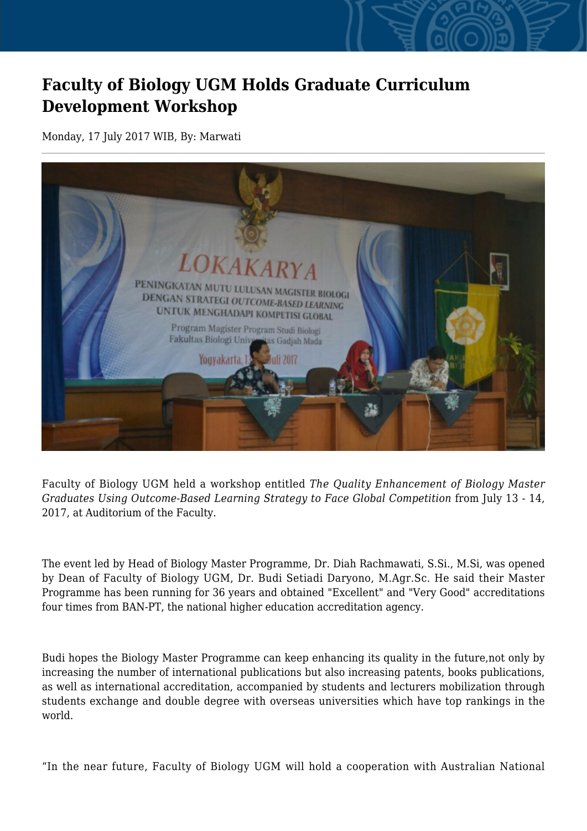## **Faculty of Biology UGM Holds Graduate Curriculum Development Workshop**

Monday, 17 July 2017 WIB, By: Marwati



Faculty of Biology UGM held a workshop entitled *The Quality Enhancement of Biology Master Graduates Using Outcome-Based Learning Strategy to Face Global Competition* from July 13 - 14, 2017, at Auditorium of the Faculty.

The event led by Head of Biology Master Programme, Dr. Diah Rachmawati, S.Si., M.Si, was opened by Dean of Faculty of Biology UGM, Dr. Budi Setiadi Daryono, M.Agr.Sc. He said their Master Programme has been running for 36 years and obtained "Excellent" and "Very Good" accreditations four times from BAN-PT, the national higher education accreditation agency.

Budi hopes the Biology Master Programme can keep enhancing its quality in the future,not only by increasing the number of international publications but also increasing patents, books publications, as well as international accreditation, accompanied by students and lecturers mobilization through students exchange and double degree with overseas universities which have top rankings in the world.

"In the near future, Faculty of Biology UGM will hold a cooperation with Australian National